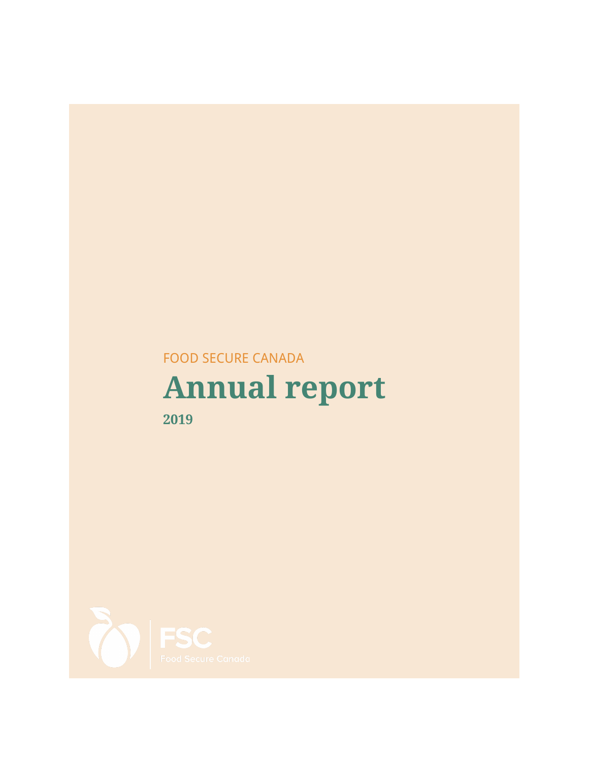# FOOD SECURE CANADA

# **Annual report**



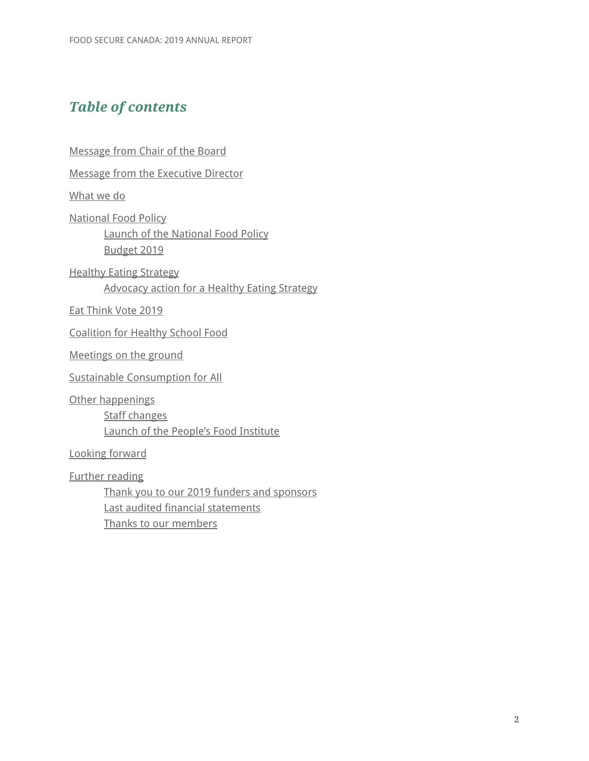## *Table of contents*

[Message](#page-2-0) from Chair of the Board

Message from the [Executive](#page-3-0) Director

[What](#page-4-0) we do

[National](#page-4-1) Food Policy

Launch of the [National](#page-4-2) Food Policy [Budget](#page-5-0) 2019

Healthy Eating [Strategy](#page-6-0) [Advocacy](#page-6-1) action for a Healthy Eating Strategy

Eat [Think](#page-7-0) Vote 2019

[Coalition](#page-7-1) for Healthy School Food

[Meetings](#page-8-0) on the ground

Sustainable [Consumption](#page-9-0) for All

Other [happenings](#page-10-0) Staff [changes](#page-10-1) Launch of the People's Food [Institute](#page-10-2)

Looking [forward](#page-10-3)

Further [reading](#page-10-4)

Thank you to our 2019 funders and [sponsors](#page-10-5) Last audited financial [statements](#page-10-6) Thanks to our [members](#page-10-7)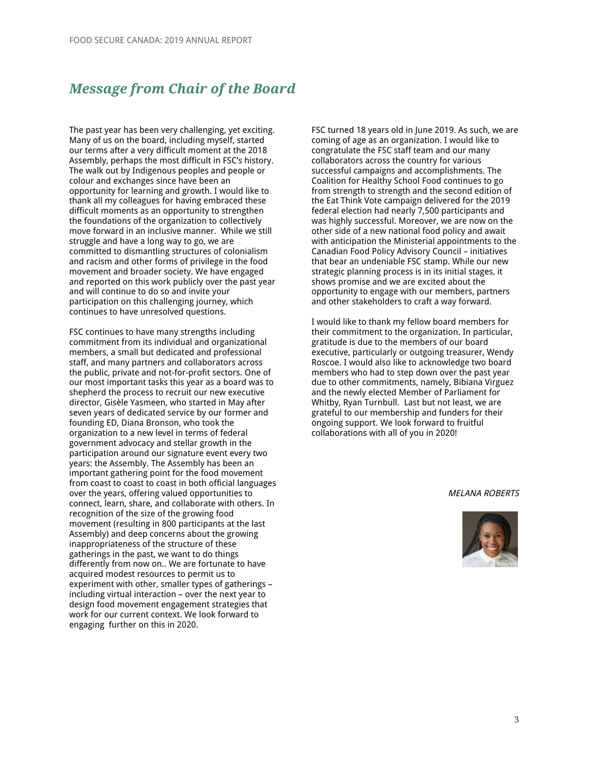## <span id="page-2-0"></span>*Message from Chair of the Board*

The past year has been very challenging, yet exciting. Many of us on the board, including myself, started our terms after a very difficult moment at the 2018 Assembly, perhaps the most difficult in FSC's history. The walk out by Indigenous peoples and people or colour and exchanges since have been an opportunity for learning and growth. I would like to thank all my colleagues for having embraced these difficult moments as an opportunity to strengthen the foundations of the organization to collectively move forward in an inclusive manner. While we still struggle and have a long way to go, we are committed to dismantling structures of colonialism and racism and other forms of privilege in the food movement and broader society. We have engaged and reported on this work publicly over the past year and will continue to do so and invite your participation on this challenging journey, which continues to have unresolved questions.

FSC continues to have many strengths including commitment from its individual and organizational members, a small but dedicated and professional staff, and many partners and collaborators across the public, private and not-for-profit sectors. One of our most important tasks this year as a board was to shepherd the process to recruit our new executive director, Gisèle Yasmeen, who started in May after seven years of dedicated service by our former and founding ED, Diana Bronson, who took the organization to a new level in terms of federal government advocacy and stellar growth in the participation around our signature event every two years: the Assembly. The Assembly has been an important gathering point for the food movement from coast to coast to coast in both official languages over the years, offering valued opportunities to connect, learn, share, and collaborate with others. In recognition of the size of the growing food movement (resulting in 800 participants at the last Assembly) and deep concerns about the growing inappropriateness of the structure of these gatherings in the past, we want to do things differently from now on.. We are fortunate to have acquired modest resources to permit us to experiment with other, smaller types of gatherings – including virtual interaction – over the next year to design food movement engagement strategies that work for our current context. We look forward to engaging further on this in 2020.

FSC turned 18 years old in June 2019. As such, we are coming of age as an organization. I would like to congratulate the FSC staff team and our many collaborators across the country for various successful campaigns and accomplishments. The Coalition for Healthy School Food continues to go from strength to strength and the second edition of the Eat Think Vote campaign delivered for the 2019 federal election had nearly 7,500 participants and was highly successful. Moreover, we are now on the other side of a new national food policy and await with anticipation the Ministerial appointments to the Canadian Food Policy Advisory Council – initiatives that bear an undeniable FSC stamp. While our new strategic planning process is in its initial stages, it shows promise and we are excited about the opportunity to engage with our members, partners and other stakeholders to craft a way forward.

I would like to thank my fellow board members for their commitment to the organization. In particular, gratitude is due to the members of our board executive, particularly or outgoing treasurer, Wendy Roscoe. I would also like to acknowledge two board members who had to step down over the past year due to other commitments, namely, Bibiana Virguez and the newly elected Member of Parliament for Whitby, Ryan Turnbull. Last but not least, we are grateful to our membership and funders for their ongoing support. We look forward to fruitful collaborations with all of you in 2020!

#### MELANA ROBERTS

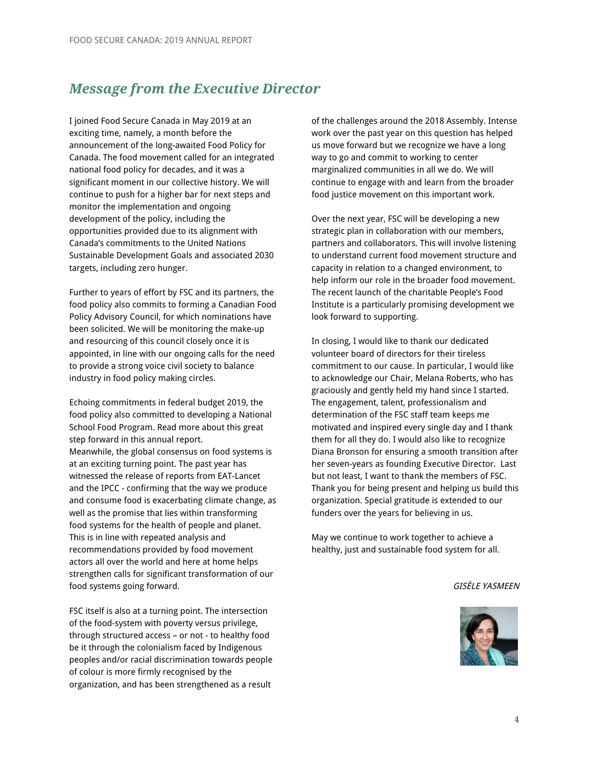## <span id="page-3-0"></span>*Message from the Executive Director*

I joined Food Secure Canada in May 2019 at an exciting time, namely, a month before the announcement of the long-awaited Food Policy for Canada. The food movement called for an integrated national food policy for decades, and it was a significant moment in our collective history. We will continue to push for a higher bar for next steps and monitor the implementation and ongoing development of the policy, including the opportunities provided due to its alignment with Canada's commitments to the United Nations Sustainable Development Goals and associated 2030 targets, including zero hunger.

Further to years of effort by FSC and its partners, the food policy also commits to forming a Canadian Food Policy Advisory Council, for which nominations have been solicited. We will be monitoring the make-up and resourcing of this council closely once it is appointed, in line with our ongoing calls for the need to provide a strong voice civil society to balance industry in food policy making circles.

Echoing commitments in federal budget 2019, the food policy also committed to developing a National School Food Program. Read more about this great step forward in this annual report. Meanwhile, the global consensus on food systems is at an exciting turning point. The past year has witnessed the release of reports from EAT-Lancet and the IPCC - confirming that the way we produce and consume food is exacerbating climate change, as well as the promise that lies within transforming food systems for the health of people and planet. This is in line with repeated analysis and recommendations provided by food movement actors all over the world and here at home helps strengthen calls for significant transformation of our food systems going forward.

FSC itself is also at a turning point. The intersection of the food-system with poverty versus privilege, through structured access – or not - to healthy food be it through the colonialism faced by Indigenous peoples and/or racial discrimination towards people of colour is more firmly recognised by the organization, and has been strengthened as a result

of the challenges around the 2018 Assembly. Intense work over the past year on this question has helped us move forward but we recognize we have a long way to go and commit to working to center marginalized communities in all we do. We will continue to engage with and learn from the broader food justice movement on this important work.

Over the next year, FSC will be developing a new strategic plan in collaboration with our members, partners and collaborators. This will involve listening to understand current food movement structure and capacity in relation to a changed environment, to help inform our role in the broader food movement. The recent launch of the charitable People's Food Institute is a particularly promising development we look forward to supporting.

In closing, I would like to thank our dedicated volunteer board of directors for their tireless commitment to our cause. In particular, I would like to acknowledge our Chair, Melana Roberts, who has graciously and gently held my hand since I started. The engagement, talent, professionalism and determination of the FSC staff team keeps me motivated and inspired every single day and I thank them for all they do. I would also like to recognize Diana Bronson for ensuring a smooth transition after her seven-years as founding Executive Director. Last but not least, I want to thank the members of FSC. Thank you for being present and helping us build this organization. Special gratitude is extended to our funders over the years for believing in us.

May we continue to work together to achieve a healthy, just and sustainable food system for all.

#### GISÈLE YASMEEN

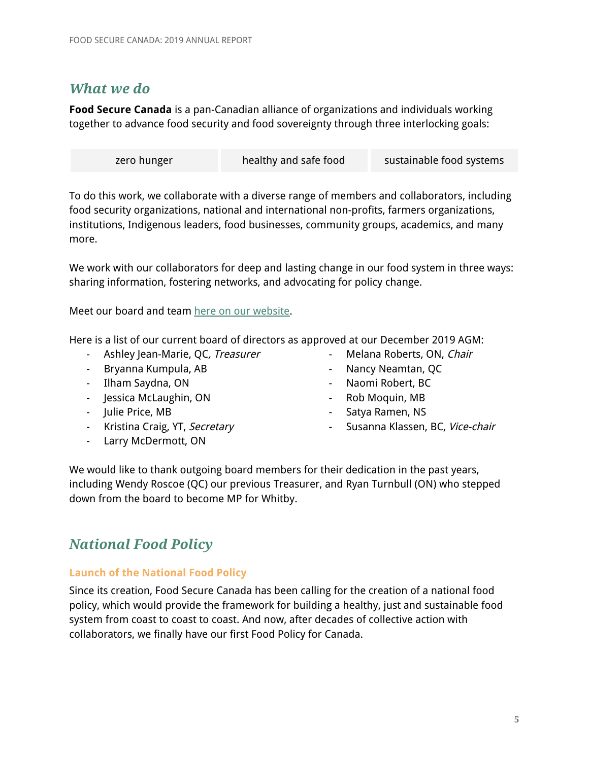## <span id="page-4-0"></span>*What we do*

**Food Secure Canada** is a pan-Canadian alliance of organizations and individuals working together to advance food security and food sovereignty through three interlocking goals:

| zero hunger | healthy and safe food | sustainable food systems |
|-------------|-----------------------|--------------------------|
|             |                       |                          |

To do this work, we collaborate with a diverse range of members and collaborators, including food security organizations, national and international non-profits, farmers organizations, institutions, Indigenous leaders, food businesses, community groups, academics, and many more.

We work with our collaborators for deep and lasting change in our food system in three ways: sharing information, fostering networks, and advocating for policy change.

Meet our board and team here on our [website.](https://foodsecurecanada.org/who-we-are/staff-steering-committee)

Here is a list of our current board of directors as approved at our December 2019 AGM:

- Ashley Jean-Marie, QC, Treasurer
- Bryanna Kumpula, AB
- Ilham Saydna, ON
- Jessica McLaughin, ON
- Julie Price, MB
- Kristina Craig, YT, Secretary
- Larry McDermott, ON
- Melana Roberts, ON, Chair
- Nancy Neamtan, QC
- Naomi Robert, BC
- Rob Moquin, MB
- Satya Ramen, NS
- Susanna Klassen, BC, Vice-chair

We would like to thank outgoing board members for their dedication in the past years, including Wendy Roscoe (QC) our previous Treasurer, and Ryan Turnbull (ON) who stepped down from the board to become MP for Whitby.

## <span id="page-4-1"></span>*National Food Policy*

#### <span id="page-4-2"></span>**Launch of the National Food Policy**

Since its creation, Food Secure Canada has been calling for the creation of a national food policy, which would provide the framework for building a healthy, just and sustainable food system from coast to coast to coast. And now, after decades of collective action with collaborators, we finally have our first Food Policy for Canada.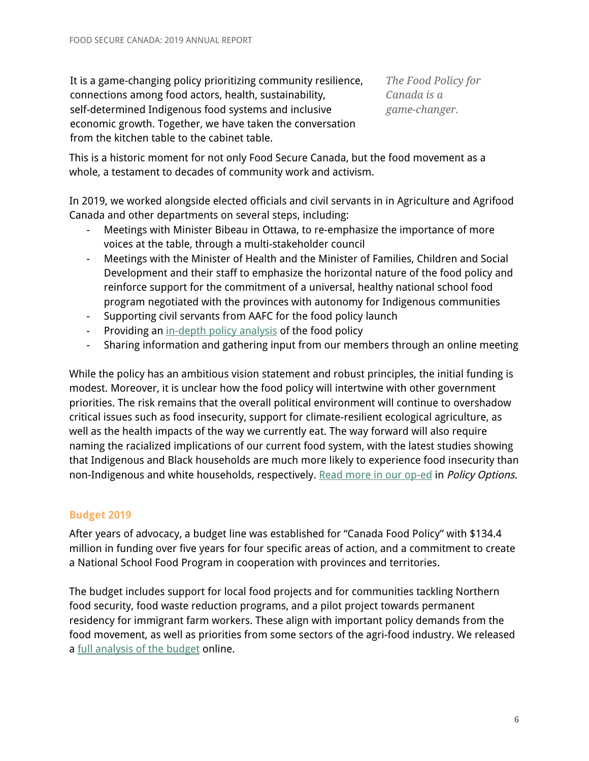It is a game-changing policy prioritizing community resilience, connections among food actors, health, sustainability, self-determined Indigenous food systems and inclusive economic growth. Together, we have taken the conversation from the kitchen table to the cabinet table.

*The Food Policy for Canada is a game-changer.*

This is a historic moment for not only Food Secure Canada, but the food movement as a whole, a testament to decades of community work and activism.

In 2019, we worked alongside elected officials and civil servants in in Agriculture and Agrifood Canada and other departments on several steps, including:

- Meetings with Minister Bibeau in Ottawa, to re-emphasize the importance of more voices at the table, through a multi-stakeholder council
- Meetings with the Minister of Health and the Minister of Families, Children and Social Development and their staff to emphasize the horizontal nature of the food policy and reinforce support for the commitment of a universal, healthy national school food program negotiated with the provinces with autonomy for Indigenous communities
- Supporting civil servants from AAFC for the food policy launch
- Providing an [in-depth](https://foodsecurecanada.org/first-national-food-policy-for-canada) policy analysis of the food policy
- Sharing information and gathering input from our members through an online meeting

While the policy has an ambitious vision statement and robust principles, the initial funding is modest. Moreover, it is unclear how the food policy will intertwine with other government priorities. The risk remains that the overall political environment will continue to overshadow critical issues such as food insecurity, support for climate-resilient ecological agriculture, as well as the health impacts of the way we currently eat. The way forward will also require naming the racialized implications of our current food system, with the latest studies showing that Indigenous and Black households are much more likely to experience food insecurity than non-Indigenous and white households, respectively. Read more in our [op-ed](https://policyoptions.irpp.org/magazines/july-2019/canadas-new-food-policy-could-be-groundbreaking/) in Policy Options.

## <span id="page-5-0"></span>**Budget 2019**

After years of advocacy, a budget line was established for "Canada Food Policy" with \$134.4 million in funding over five years for four specific areas of action, and a commitment to create a National School Food Program in cooperation with provinces and territories.

The budget includes support for local food projects and for communities tackling Northern food security, food waste reduction programs, and a pilot project towards permanent residency for immigrant farm workers. These align with important policy demands from the food movement, as well as priorities from some sectors of the agri-food industry. We released a full [analysis](https://foodsecurecanada.org/resources-news/news-media/budget-hints-priorities-upcoming-food-policy-analysis-fsc) of the budget online.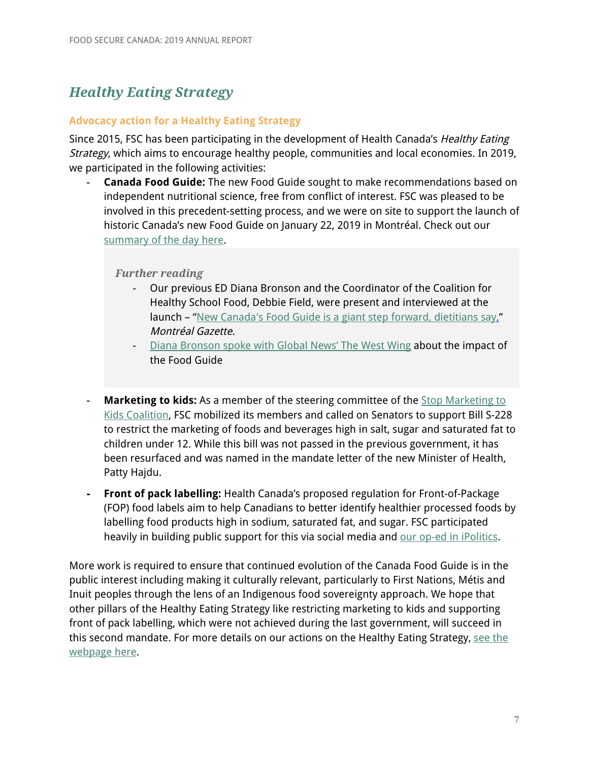## <span id="page-6-0"></span>*Healthy Eating Strategy*

#### <span id="page-6-1"></span>**Advocacy action for a Healthy Eating Strategy**

Since 2015, FSC has been participating in the development of Health Canada's Healthy Eating Strategy, which aims to encourage healthy people, communities and local economies. In 2019, we participated in the following activities:

- **Canada Food Guide:** The new Food Guide sought to make recommendations based on independent nutritional science, free from conflict of interest. FSC was pleased to be involved in this precedent-setting process, and we were on site to support the launch of historic Canada's new Food Guide on January 22, 2019 in Montréal. Check out our [summary](https://foodsecurecanada.org/resources-news/news-media/food-guide-launch-reaction-round) of the day here.

#### *Further reading*

- Our previous ED Diana Bronson and the Coordinator of the Coalition for Healthy School Food, Debbie Field, were present and interviewed at the launch – "New Canada's Food Guide is a giant step forward, [dietitians](https://montrealgazette.com/health/new-canadas-food-guide-is-a-giant-step-forward-dietitians-say) sa[y,"](https://montrealgazette.com/health/new-canadas-food-guide-is-a-giant-step-forward-dietitians-say) Montréal Gazette.
- Diana [Bronson](https://www.facebook.com/watch/?v=610983162695220) spoke with Global News' The West Wing about the impact of the Food Guide
- **[Marketing](https://stopmarketingtokids.ca/) to kids:** As a member of the steering committee of the **Stop Marketing to** Kids [Coalition,](https://stopmarketingtokids.ca/) FSC mobilized its members and called on Senators to support Bill S-228 to restrict the marketing of foods and beverages high in salt, sugar and saturated fat to children under 12. While this bill was not passed in the previous government, it has been resurfaced and was named in the mandate letter of the new Minister of Health, Patty Hajdu.
- **- Front of pack labelling:** Health Canada's proposed regulation for Front-of-Package (FOP) food labels aim to help Canadians to better identify healthier processed foods by labelling food products high in sodium, saturated fat, and sugar. FSC participated heavily in building public support for this via social media and our op-ed in [iPolitics.](https://ipolitics.ca/2018/11/05/big-ideas-or-big-food-its-time-for-canadas-healthy-eating-strategy/)

More work is required to ensure that continued evolution of the Canada Food Guide is in the public interest including making it culturally relevant, particularly to First Nations, Métis and Inuit peoples through the lens of an Indigenous food sovereignty approach. We hope that other pillars of the Healthy Eating Strategy like restricting marketing to kids and supporting front of pack labelling, which were not achieved during the last government, will succeed in this second mandate. For more details on our actions on the Healthy Eating Strategy, [see](https://foodsecurecanada.org/resources-news/news-media/food-guide-launch-reaction-round) the [webpage](https://foodsecurecanada.org/resources-news/news-media/food-guide-launch-reaction-round) here.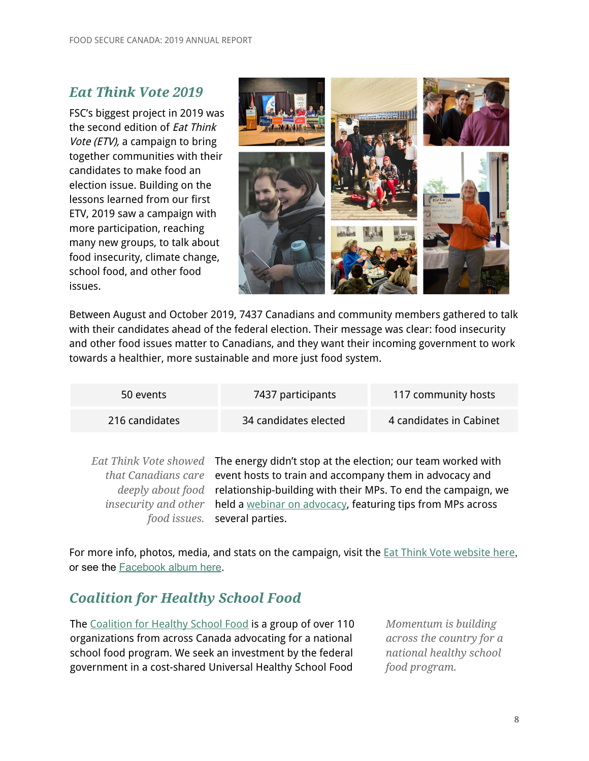## <span id="page-7-0"></span>*Eat Think Vote 2019*

FSC's biggest project in 2019 was the second edition of Eat Think Vote (ETV), a campaign to bring together communities with their candidates to make food an election issue. Building on the lessons learned from our first ETV, 2019 saw a campaign with more participation, reaching many new groups, to talk about food insecurity, climate change, school food, and other food issues.



Between August and October 2019, 7437 Canadians and community members gathered to talk with their candidates ahead of the federal election. Their message was clear: food insecurity and other food issues matter to Canadians, and they want their incoming government to work towards a healthier, more sustainable and more just food system.

| 50 events      | 7437 participants     | 117 community hosts     |
|----------------|-----------------------|-------------------------|
| 216 candidates | 34 candidates elected | 4 candidates in Cabinet |

Eat *Think Vote showed* The energy didn't stop at the election; our team worked with *that Canadians care* event hosts to train and accompany them in advocacy and *deeply about food* relationship-building with their MPs. To end the campaign, we *insecurity and other food issues.* held a webinar on [advocacy,](https://foodsecurecanada.org/resources-news/events/webinar-advocacy-and-mandate-letters) featuring tips from MPs across several parties.

For more info, photos, media, and stats on the campaign, visit the **Eat Think Vote [website](https://www.eatthinkvote.ca/) here**, or see the [Facebook](https://www.facebook.com/pg/foodsecurecanada/photos/?tab=album&album_id=10156874215912903) album here.

## <span id="page-7-1"></span>*Coalition for Healthy School Food*

The [Coalition](https://www.healthyschoolfood.ca/) for Healthy School Food is a group of over 110 organizations from across Canada advocating for a national school food program. We seek an investment by the federal government in a cost-shared Universal Healthy School Food

*Momentum is building across the country for a national healthy school food program.*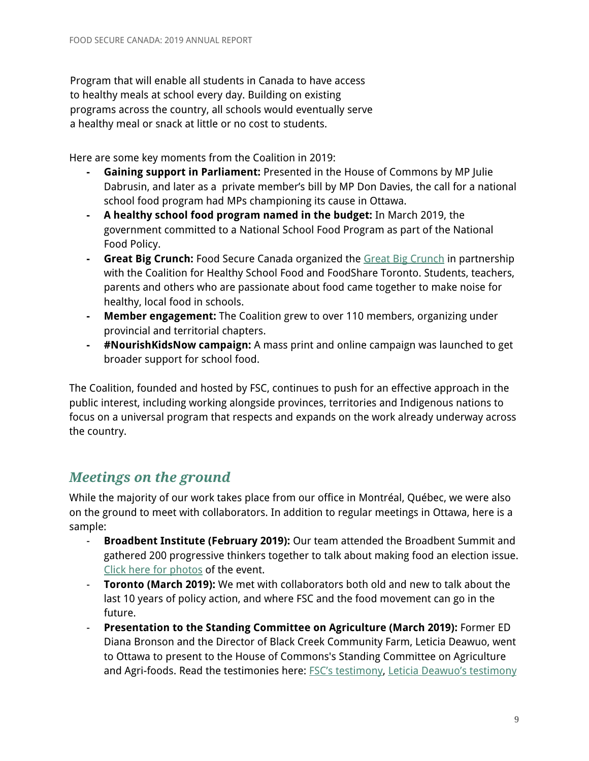Program that will enable all students in Canada to have access to healthy meals at school every day. Building on existing programs across the country, all schools would eventually serve a healthy meal or snack at little or no cost to students.

Here are some key moments from the Coalition in 2019:

- **- Gaining support in Parliament:** Presented in the House of Commons by MP Julie Dabrusin, and later as a private member's bill by MP Don Davies, the call for a national school food program had MPs championing its cause in Ottawa.
- **- A healthy school food program named in the budget:** In March 2019, the government committed to a National School Food Program as part of the National Food Policy.
- **- Great Big Crunch:** Food Secure Canada organized the Great Big [Crunch](https://www.healthyschoolfood.ca/great-big-crunch) in partnership with the Coalition for Healthy School Food and FoodShare Toronto. Students, teachers, parents and others who are passionate about food came together to make noise for healthy, local food in schools.
- **- Member engagement:** The Coalition grew to over 110 members, organizing under provincial and territorial chapters.
- **- #NourishKidsNow campaign:** A mass print and online campaign was launched to get broader support for school food.

The Coalition, founded and hosted by FSC, continues to push for an effective approach in the public interest, including working alongside provinces, territories and Indigenous nations to focus on a universal program that respects and expands on the work already underway across the country.

## <span id="page-8-0"></span>*Meetings on the ground*

While the majority of our work takes place from our office in Montréal, Québec, we were also on the ground to meet with collaborators. In addition to regular meetings in Ottawa, here is a sample:

- **Broadbent Institute (February 2019):** Our team attended the Broadbent Summit and gathered 200 progressive thinkers together to talk about making food an election issue. Click here for [photos](https://www.facebook.com/pg/foodsecurecanada/photos/?tab=album&album_id=10156392445702903) of the event.
- **Toronto (March 2019):** We met with collaborators both old and new to talk about the last 10 years of policy action, and where FSC and the food movement can go in the future.
- **Presentation to the Standing Committee on Agriculture (March 2019):** Former ED Diana Bronson and the Director of Black Creek Community Farm, Leticia Deawuo, went to Ottawa to present to the House of Commons's Standing Committee on Agriculture and Agri-foods. Read the testimonies here: **FSC's [testimony](https://drive.google.com/file/d/168MIGPau0ZmJEldiBv88BmJ4ngoq-5hi/view?ts=5c92883b)**, Leticia Deawuo's testimony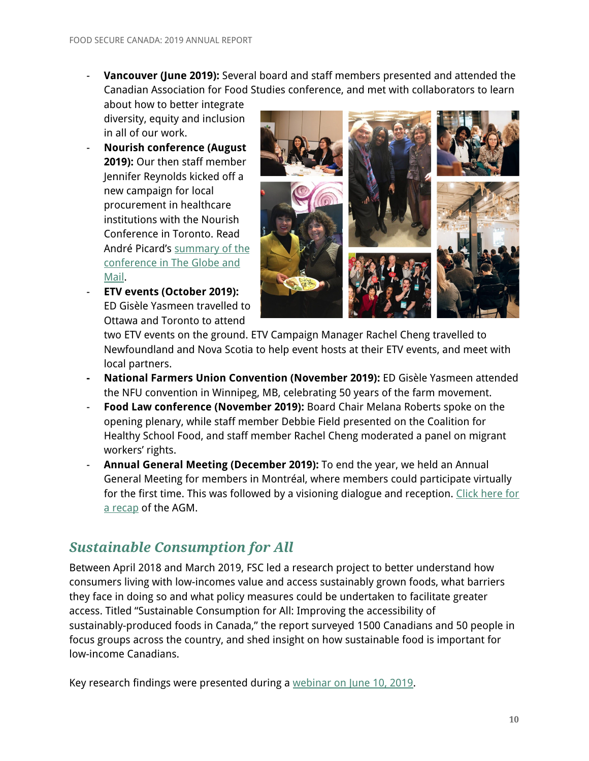- **Vancouver (June 2019):** Several board and staff members presented and attended the Canadian Association for Food Studies conference, and met with collaborators to learn
	- about how to better integrate diversity, equity and inclusion in all of our work.
- **Nourish conference (August 2019):** Our then staff member Jennifer Reynolds kicked off a new campaign for local procurement in healthcare institutions with the Nourish Conference in Toronto. Read André Picard's [summary](https://www.theglobeandmail.com/opinion/article-hospital-food-should-be-healing-not-horrifying/) of the [conference](https://www.theglobeandmail.com/opinion/article-hospital-food-should-be-healing-not-horrifying/) in The Globe and [Mail](https://www.theglobeandmail.com/opinion/article-hospital-food-should-be-healing-not-horrifying/).
- **ETV events (October 2019):** ED Gisèle Yasmeen travelled to Ottawa and Toronto to attend



two ETV events on the ground. ETV Campaign Manager Rachel Cheng travelled to Newfoundland and Nova Scotia to help event hosts at their ETV events, and meet with local partners.

- **- National Farmers Union Convention (November 2019):** ED Gisèle Yasmeen attended the NFU convention in Winnipeg, MB, celebrating 50 years of the farm movement.
- **Food Law conference (November 2019):** Board Chair Melana Roberts spoke on the opening plenary, while staff member Debbie Field presented on the Coalition for Healthy School Food, and staff member Rachel Cheng moderated a panel on migrant workers' rights.
- **Annual General Meeting (December 2019):** To end the year, we held an Annual General Meeting for members in Montréal, where members could participate virtually for the first time. This was followed by a visioning dialogue and reception. [Click](https://foodsecurecanada.org/resources-news/news-media/food-secure-canadas-agm-2019) here for a [recap](https://foodsecurecanada.org/resources-news/news-media/food-secure-canadas-agm-2019) of the AGM.

## <span id="page-9-0"></span>*Sustainable Consumption for All*

Between April 2018 and March 2019, FSC led a research project to better understand how consumers living with low-incomes value and access sustainably grown foods, what barriers they face in doing so and what policy measures could be undertaken to facilitate greater access. Titled "Sustainable Consumption for All: Improving the accessibility of sustainably-produced foods in Canada," the report surveyed 1500 Canadians and 50 people in focus groups across the country, and shed insight on how sustainable food is important for low-income Canadians.

Key research findings were presented during a [webinar](http://foodsecurecanada.org/resources-news/events/webinar-improving-accessibility-sustainably-produced-foods-canada) on June 10, 2019.